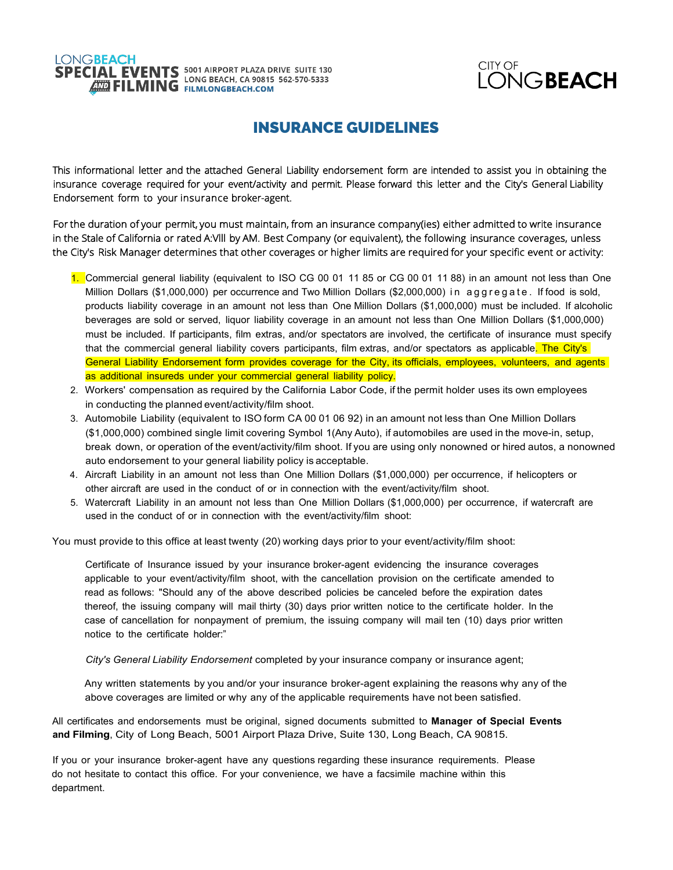# **LONGBEACH SPECIAL EVENTS** 5001 AIRPORT PLAZA DRIVE SUITE 130

CITY OF **LONGBEACH** 

## **INSURANCE GUIDELINES**

This informational letter and the attached General Liability endorsement form are intended to assist you in obtaining the insurance coverage required for your event/activity and permit. Please forward this letter and the City's General Liability Endorsement form to your insurance broker-agent.

For the duration of your permit, you must maintain, from an insurance company(ies) either admitted to write insurance in the Stale of California or rated A:VIII by AM. Best Company (or equivalent), the following insurance coverages, unless the City's Risk Manager determines that other coverages or higher limits are required for your specific event or activity:

- 1. Commercial general liability (equivalent to ISO CG 00 01 11 85 or CG 00 01 11 88) in an amount not less than One Million Dollars (\$1,000,000) per occurrence and Two Million Dollars (\$2,000,000) in aggregate . If food is sold, products liability coverage in an amount not less than One Million Dollars (\$1,000,000) must be included. If alcoholic beverages are sold or served, liquor liability coverage in an amount not less than One Million Dollars (\$1,000,000) must be included. If participants, film extras, and/or spectators are involved, the certificate of insurance must specify that the commercial general liability covers participants, film extras, and/or spectators as applicable. The City's General Liability Endorsement form provides coverage for the City, its officials, employees, volunteers, and agents as additional insureds under your commercial general liability policy.
- 2. Workers' compensation as required by the California Labor Code, if the permit holder uses its own employees in conducting the planned event/activity/film shoot.
- 3. Automobile Liability (equivalent to ISO form CA 00 01 06 92) in an amount not less than One Million Dollars (\$1,000,000) combined single limit covering Symbol 1(Any Auto), if automobiles are used in the move-in, setup, break down, or operation of the event/activity/film shoot. If you are using only nonowned or hired autos, a nonowned auto endorsement to your general liability policy is acceptable.
- 4. Aircraft Liability in an amount not less than One Million Dollars (\$1,000,000) per occurrence, if helicopters or other aircraft are used in the conduct of or in connection with the event/activity/film shoot.
- 5. Watercraft Liability in an amount not less than One Million Dollars (\$1,000,000) per occurrence, if watercraft are used in the conduct of or in connection with the event/activity/film shoot:

You must provide to this office at least twenty (20) working days prior to your event/activity/film shoot:

Certificate of Insurance issued by your insurance broker-agent evidencing the insurance coverages applicable to your event/activity/film shoot, with the cancellation provision on the certificate amended to read as follows: "Should any of the above described policies be canceled before the expiration dates thereof, the issuing company will mail thirty (30) days prior written notice to the certificate holder. In the case of cancellation for nonpayment of premium, the issuing company will mail ten (10) days prior written notice to the certificate holder:"

*City's General Liability Endorsement* completed by your insurance company or insurance agent;

Any written statements by you and/or your insurance broker-agent explaining the reasons why any of the above coverages are limited or why any of the applicable requirements have not been satisfied.

All certificates and endorsements must be original, signed documents submitted to **Manager of Special Events and Filming**, City of Long Beach, 5001 Airport Plaza Drive, Suite 130, Long Beach, CA 90815.

If you or your insurance broker-agent have any questions regarding these insurance requirements. Please do not hesitate to contact this office. For your convenience, we have a facsimile machine within this department.